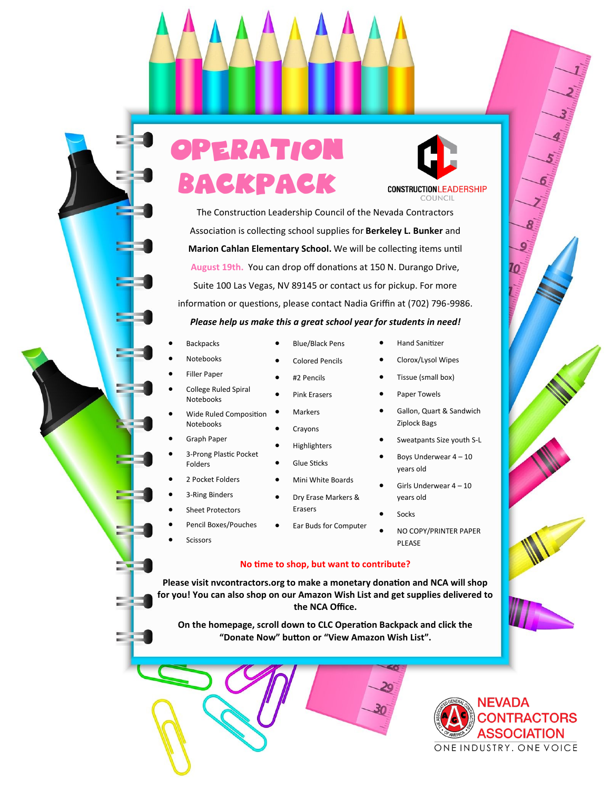## **PERATION** backpack



COUNCIL The Construction Leadership Council of the Nevada Contractors Association is collecting school supplies for **Berkeley L. Bunker** and **Marion Cahlan Elementary School.** We will be collecting items until **August 19th.** You can drop off donations at 150 N. Durango Drive, Suite 100 Las Vegas, NV 89145 or contact us for pickup. For more

information or questions, please contact Nadia Griffin at (702) 796-9986.

*Please help us make this a great school year for students in need!*

- **Backpacks**
- Notebooks • Filler Paper
- College Ruled Spiral Notebooks
- Wide Ruled Composition Notebooks
- Graph Paper
- 3-Prong Plastic Pocket Folders
- 2 Pocket Folders
- 3-Ring Binders
- Sheet Protectors
- Pencil Boxes/Pouches
- **Scissors**
- Blue/Black Pens
- Colored Pencils
- #2 Pencils
- Pink Erasers
- **Markers**
- **Crayons**
- Highlighters
- **Glue Sticks**
- Mini White Boards
- Dry Erase Markers & Erasers
- Ear Buds for Computer
- Hand Sanitizer
- Clorox/Lysol Wipes
- Tissue (small box)
- Paper Towels
- Gallon, Quart & Sandwich Ziplock Bags
- Sweatpants Size youth S-L
- Boys Underwear 4 10 years old
- Girls Underwear 4 10 years old
- Socks
- NO COPY/PRINTER PAPER PLEASE

## **No time to shop, but want to contribute?**

**Please visit nvcontractors.org to make a monetary donation and NCA will shop for you! You can also shop on our Amazon Wish List and get supplies delivered to the NCA Office.** 

**On the homepage, scroll down to CLC Operation Backpack and click the "Donate Now" button or "View Amazon Wish List".**